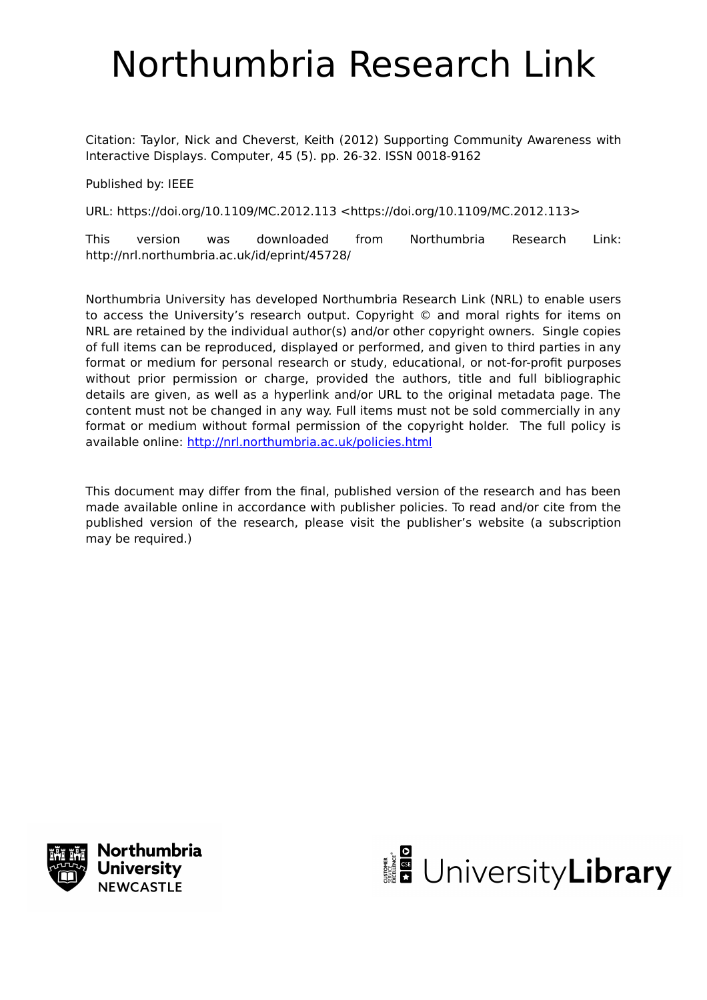# Northumbria Research Link

Citation: Taylor, Nick and Cheverst, Keith (2012) Supporting Community Awareness with Interactive Displays. Computer, 45 (5). pp. 26-32. ISSN 0018-9162

Published by: IEEE

URL: https://doi.org/10.1109/MC.2012.113 <https://doi.org/10.1109/MC.2012.113>

This version was downloaded from Northumbria Research Link: http://nrl.northumbria.ac.uk/id/eprint/45728/

Northumbria University has developed Northumbria Research Link (NRL) to enable users to access the University's research output. Copyright © and moral rights for items on NRL are retained by the individual author(s) and/or other copyright owners. Single copies of full items can be reproduced, displayed or performed, and given to third parties in any format or medium for personal research or study, educational, or not-for-profit purposes without prior permission or charge, provided the authors, title and full bibliographic details are given, as well as a hyperlink and/or URL to the original metadata page. The content must not be changed in any way. Full items must not be sold commercially in any format or medium without formal permission of the copyright holder. The full policy is available online:<http://nrl.northumbria.ac.uk/policies.html>

This document may differ from the final, published version of the research and has been made available online in accordance with publisher policies. To read and/or cite from the published version of the research, please visit the publisher's website (a subscription may be required.)



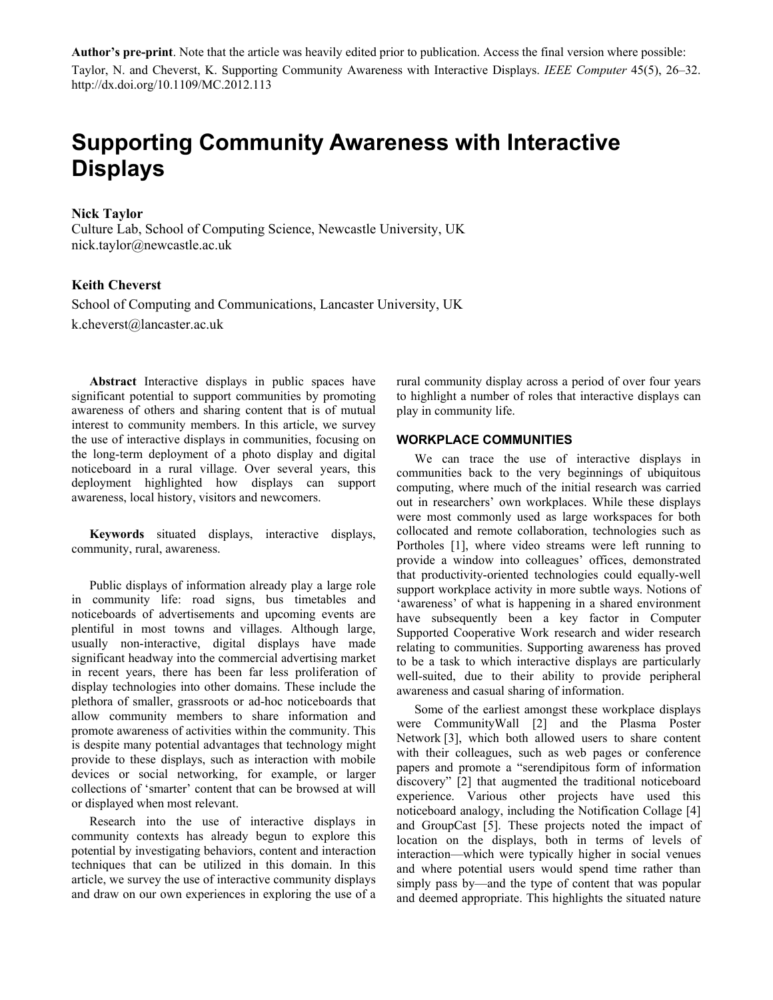**Author's pre-print**. Note that the article was heavily edited prior to publication. Access the final version where possible: Taylor, N. and Cheverst, K. Supporting Community Awareness with Interactive Displays. *IEEE Computer* 45(5), 26–32. http://dx.doi.org/10.1109/MC.2012.113

# **Supporting Community Awareness with Interactive Displays**

### **Nick Taylor**

Culture Lab, School of Computing Science, Newcastle University, UK nick.taylor@newcastle.ac.uk

# **Keith Cheverst**

School of Computing and Communications, Lancaster University, UK k.cheverst@lancaster.ac.uk

**Abstract** Interactive displays in public spaces have significant potential to support communities by promoting awareness of others and sharing content that is of mutual interest to community members. In this article, we survey the use of interactive displays in communities, focusing on the long-term deployment of a photo display and digital noticeboard in a rural village. Over several years, this deployment highlighted how displays can support awareness, local history, visitors and newcomers.

**Keywords** situated displays, interactive displays, community, rural, awareness.

Public displays of information already play a large role in community life: road signs, bus timetables and noticeboards of advertisements and upcoming events are plentiful in most towns and villages. Although large, usually non-interactive, digital displays have made significant headway into the commercial advertising market in recent years, there has been far less proliferation of display technologies into other domains. These include the plethora of smaller, grassroots or ad-hoc noticeboards that allow community members to share information and promote awareness of activities within the community. This is despite many potential advantages that technology might provide to these displays, such as interaction with mobile devices or social networking, for example, or larger collections of 'smarter' content that can be browsed at will or displayed when most relevant.

Research into the use of interactive displays in community contexts has already begun to explore this potential by investigating behaviors, content and interaction techniques that can be utilized in this domain. In this article, we survey the use of interactive community displays and draw on our own experiences in exploring the use of a

rural community display across a period of over four years to highlight a number of roles that interactive displays can play in community life.

## **WORKPLACE COMMUNITIES**

We can trace the use of interactive displays in communities back to the very beginnings of ubiquitous computing, where much of the initial research was carried out in researchers' own workplaces. While these displays were most commonly used as large workspaces for both collocated and remote collaboration, technologies such as Portholes [1], where video streams were left running to provide a window into colleagues' offices, demonstrated that productivity-oriented technologies could equally-well support workplace activity in more subtle ways. Notions of 'awareness' of what is happening in a shared environment have subsequently been a key factor in Computer Supported Cooperative Work research and wider research relating to communities. Supporting awareness has proved to be a task to which interactive displays are particularly well-suited, due to their ability to provide peripheral awareness and casual sharing of information.

Some of the earliest amongst these workplace displays were CommunityWall [2] and the Plasma Poster Network [3], which both allowed users to share content with their colleagues, such as web pages or conference papers and promote a "serendipitous form of information discovery" [2] that augmented the traditional noticeboard experience. Various other projects have used this noticeboard analogy, including the Notification Collage [4] and GroupCast [5]. These projects noted the impact of location on the displays, both in terms of levels of interaction—which were typically higher in social venues and where potential users would spend time rather than simply pass by—and the type of content that was popular and deemed appropriate. This highlights the situated nature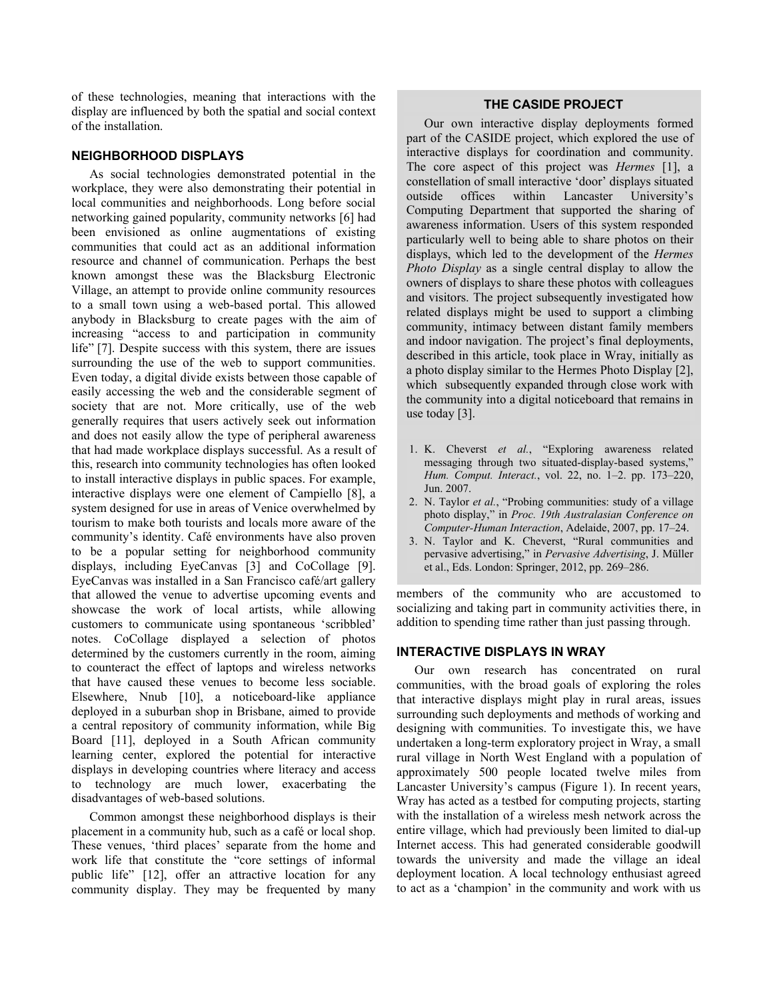of these technologies, meaning that interactions with the display are influenced by both the spatial and social context of the installation.

# **NEIGHBORHOOD DISPLAYS**

As social technologies demonstrated potential in the workplace, they were also demonstrating their potential in local communities and neighborhoods. Long before social networking gained popularity, community networks [6] had been envisioned as online augmentations of existing communities that could act as an additional information resource and channel of communication. Perhaps the best known amongst these was the Blacksburg Electronic Village, an attempt to provide online community resources to a small town using a web-based portal. This allowed anybody in Blacksburg to create pages with the aim of increasing "access to and participation in community life" [7]. Despite success with this system, there are issues surrounding the use of the web to support communities. Even today, a digital divide exists between those capable of easily accessing the web and the considerable segment of society that are not. More critically, use of the web generally requires that users actively seek out information and does not easily allow the type of peripheral awareness that had made workplace displays successful. As a result of this, research into community technologies has often looked to install interactive displays in public spaces. For example, interactive displays were one element of Campiello [8], a system designed for use in areas of Venice overwhelmed by tourism to make both tourists and locals more aware of the community's identity. Café environments have also proven to be a popular setting for neighborhood community displays, including EyeCanvas [3] and CoCollage [9]. EyeCanvas was installed in a San Francisco café/art gallery that allowed the venue to advertise upcoming events and showcase the work of local artists, while allowing customers to communicate using spontaneous 'scribbled' notes. CoCollage displayed a selection of photos determined by the customers currently in the room, aiming to counteract the effect of laptops and wireless networks that have caused these venues to become less sociable. Elsewhere, Nnub [10], a noticeboard-like appliance deployed in a suburban shop in Brisbane, aimed to provide a central repository of community information, while Big Board [11], deployed in a South African community learning center, explored the potential for interactive displays in developing countries where literacy and access to technology are much lower, exacerbating the disadvantages of web-based solutions.

Common amongst these neighborhood displays is their placement in a community hub, such as a café or local shop. These venues, 'third places' separate from the home and work life that constitute the "core settings of informal public life" [12], offer an attractive location for any community display. They may be frequented by many

# **THE CASIDE PROJECT**

Our own interactive display deployments formed part of the CASIDE project, which explored the use of interactive displays for coordination and community. The core aspect of this project was *Hermes* [1], a constellation of small interactive 'door' displays situated outside offices within Lancaster University's Computing Department that supported the sharing of awareness information. Users of this system responded particularly well to being able to share photos on their displays, which led to the development of the *Hermes Photo Display* as a single central display to allow the owners of displays to share these photos with colleagues and visitors. The project subsequently investigated how related displays might be used to support a climbing community, intimacy between distant family members and indoor navigation. The project's final deployments, described in this article, took place in Wray, initially as a photo display similar to the Hermes Photo Display [2], which subsequently expanded through close work with the community into a digital noticeboard that remains in use today [3].

- 1. K. Cheverst *et al.*, "Exploring awareness related messaging through two situated-display-based systems," *Hum. Comput. Interact.*, vol. 22, no. 1–2. pp. 173–220, Jun. 2007.
- 2. N. Taylor *et al.*, "Probing communities: study of a village photo display," in *Proc. 19th Australasian Conference on Computer-Human Interaction*, Adelaide, 2007, pp. 17–24.
- 3. N. Taylor and K. Cheverst, "Rural communities and pervasive advertising," in *Pervasive Advertising*, J. Müller et al., Eds. London: Springer, 2012, pp. 269–286.

members of the community who are accustomed to socializing and taking part in community activities there, in addition to spending time rather than just passing through.

# **INTERACTIVE DISPLAYS IN WRAY**

Our own research has concentrated on rural communities, with the broad goals of exploring the roles that interactive displays might play in rural areas, issues surrounding such deployments and methods of working and designing with communities. To investigate this, we have undertaken a long-term exploratory project in Wray, a small rural village in North West England with a population of approximately 500 people located twelve miles from Lancaster University's campus (Figure 1). In recent years, Wray has acted as a testbed for computing projects, starting with the installation of a wireless mesh network across the entire village, which had previously been limited to dial-up Internet access. This had generated considerable goodwill towards the university and made the village an ideal deployment location. A local technology enthusiast agreed to act as a 'champion' in the community and work with us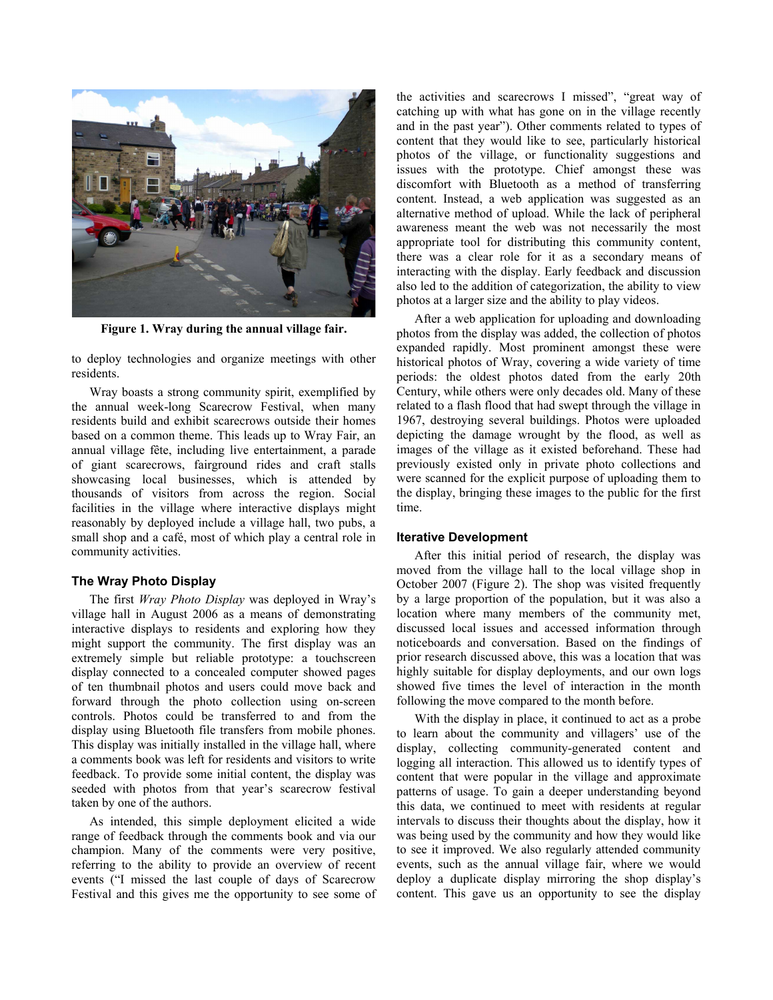

**Figure 1. Wray during the annual village fair.** 

to deploy technologies and organize meetings with other residents.

Wray boasts a strong community spirit, exemplified by the annual week-long Scarecrow Festival, when many residents build and exhibit scarecrows outside their homes based on a common theme. This leads up to Wray Fair, an annual village fête, including live entertainment, a parade of giant scarecrows, fairground rides and craft stalls showcasing local businesses, which is attended by thousands of visitors from across the region. Social facilities in the village where interactive displays might reasonably by deployed include a village hall, two pubs, a small shop and a café, most of which play a central role in community activities.

### **The Wray Photo Display**

The first *Wray Photo Display* was deployed in Wray's village hall in August 2006 as a means of demonstrating interactive displays to residents and exploring how they might support the community. The first display was an extremely simple but reliable prototype: a touchscreen display connected to a concealed computer showed pages of ten thumbnail photos and users could move back and forward through the photo collection using on-screen controls. Photos could be transferred to and from the display using Bluetooth file transfers from mobile phones. This display was initially installed in the village hall, where a comments book was left for residents and visitors to write feedback. To provide some initial content, the display was seeded with photos from that year's scarecrow festival taken by one of the authors.

As intended, this simple deployment elicited a wide range of feedback through the comments book and via our champion. Many of the comments were very positive, referring to the ability to provide an overview of recent events ("I missed the last couple of days of Scarecrow Festival and this gives me the opportunity to see some of the activities and scarecrows I missed", "great way of catching up with what has gone on in the village recently and in the past year"). Other comments related to types of content that they would like to see, particularly historical photos of the village, or functionality suggestions and issues with the prototype. Chief amongst these was discomfort with Bluetooth as a method of transferring content. Instead, a web application was suggested as an alternative method of upload. While the lack of peripheral awareness meant the web was not necessarily the most appropriate tool for distributing this community content, there was a clear role for it as a secondary means of interacting with the display. Early feedback and discussion also led to the addition of categorization, the ability to view photos at a larger size and the ability to play videos.

After a web application for uploading and downloading photos from the display was added, the collection of photos expanded rapidly. Most prominent amongst these were historical photos of Wray, covering a wide variety of time periods: the oldest photos dated from the early 20th Century, while others were only decades old. Many of these related to a flash flood that had swept through the village in 1967, destroying several buildings. Photos were uploaded depicting the damage wrought by the flood, as well as images of the village as it existed beforehand. These had previously existed only in private photo collections and were scanned for the explicit purpose of uploading them to the display, bringing these images to the public for the first time.

### **Iterative Development**

After this initial period of research, the display was moved from the village hall to the local village shop in October 2007 (Figure 2). The shop was visited frequently by a large proportion of the population, but it was also a location where many members of the community met, discussed local issues and accessed information through noticeboards and conversation. Based on the findings of prior research discussed above, this was a location that was highly suitable for display deployments, and our own logs showed five times the level of interaction in the month following the move compared to the month before.

With the display in place, it continued to act as a probe to learn about the community and villagers' use of the display, collecting community-generated content and logging all interaction. This allowed us to identify types of content that were popular in the village and approximate patterns of usage. To gain a deeper understanding beyond this data, we continued to meet with residents at regular intervals to discuss their thoughts about the display, how it was being used by the community and how they would like to see it improved. We also regularly attended community events, such as the annual village fair, where we would deploy a duplicate display mirroring the shop display's content. This gave us an opportunity to see the display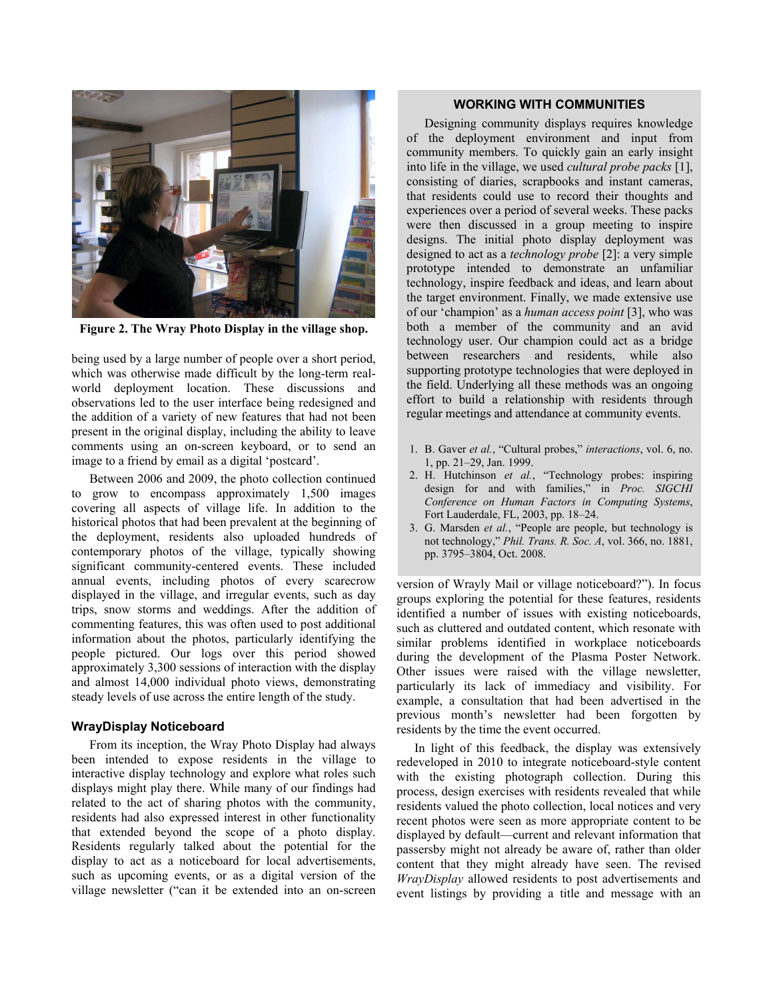

**Figure 2. The Wray Photo Display in the village shop.** 

being used by a large number of people over a short period, which was otherwise made difficult by the long-term realworld deployment location. These discussions and observations led to the user interface being redesigned and the addition of a variety of new features that had not been present in the original display, including the ability to leave comments using an on-screen keyboard, or to send an image to a friend by email as a digital 'postcard'.

Between 2006 and 2009, the photo collection continued to grow to encompass approximately 1,500 images covering all aspects of village life. In addition to the historical photos that had been prevalent at the beginning of the deployment, residents also uploaded hundreds of contemporary photos of the village, typically showing significant community-centered events. These included annual events, including photos of every scarecrow displayed in the village, and irregular events, such as day trips, snow storms and weddings. After the addition of commenting features, this was often used to post additional information about the photos, particularly identifying the people pictured. Our logs over this period showed approximately 3,300 sessions of interaction with the display and almost 14,000 individual photo views, demonstrating steady levels of use across the entire length of the study.

# **WrayDisplay Noticeboard**

From its inception, the Wray Photo Display had always been intended to expose residents in the village to interactive display technology and explore what roles such displays might play there. While many of our findings had related to the act of sharing photos with the community, residents had also expressed interest in other functionality that extended beyond the scope of a photo display. Residents regularly talked about the potential for the display to act as a noticeboard for local advertisements, such as upcoming events, or as a digital version of the village newsletter ("can it be extended into an on-screen

# **WORKING WITH COMMUNITIES**

Designing community displays requires knowledge of the deployment environment and input from community members. To quickly gain an early insight into life in the village, we used *cultural probe packs* [1], consisting of diaries, scrapbooks and instant cameras, that residents could use to record their thoughts and experiences over a period of several weeks. These packs were then discussed in a group meeting to inspire designs. The initial photo display deployment was designed to act as a *technology probe* [2]: a very simple prototype intended to demonstrate an unfamiliar technology, inspire feedback and ideas, and learn about the target environment. Finally, we made extensive use of our 'champion' as a *human access point* [3], who was both a member of the community and an avid technology user. Our champion could act as a bridge between researchers and residents, while also supporting prototype technologies that were deployed in the field. Underlying all these methods was an ongoing effort to build a relationship with residents through regular meetings and attendance at community events.

- 1. B. Gaver *et al.*, "Cultural probes," *interactions*, vol. 6, no. 1, pp. 21–29, Jan. 1999.
- 2. H. Hutchinson *et al.*, "Technology probes: inspiring design for and with families," in *Proc. SIGCHI Conference on Human Factors in Computing Systems*, Fort Lauderdale, FL, 2003, pp. 18–24.
- 3. G. Marsden *et al.*, "People are people, but technology is not technology," *Phil. Trans. R. Soc. A*, vol. 366, no. 1881, pp. 3795–3804, Oct. 2008.

version of Wrayly Mail or village noticeboard?"). In focus groups exploring the potential for these features, residents identified a number of issues with existing noticeboards, such as cluttered and outdated content, which resonate with similar problems identified in workplace noticeboards during the development of the Plasma Poster Network. Other issues were raised with the village newsletter, particularly its lack of immediacy and visibility. For example, a consultation that had been advertised in the previous month's newsletter had been forgotten by residents by the time the event occurred.

In light of this feedback, the display was extensively redeveloped in 2010 to integrate noticeboard-style content with the existing photograph collection. During this process, design exercises with residents revealed that while residents valued the photo collection, local notices and very recent photos were seen as more appropriate content to be displayed by default—current and relevant information that passersby might not already be aware of, rather than older content that they might already have seen. The revised *WrayDisplay* allowed residents to post advertisements and event listings by providing a title and message with an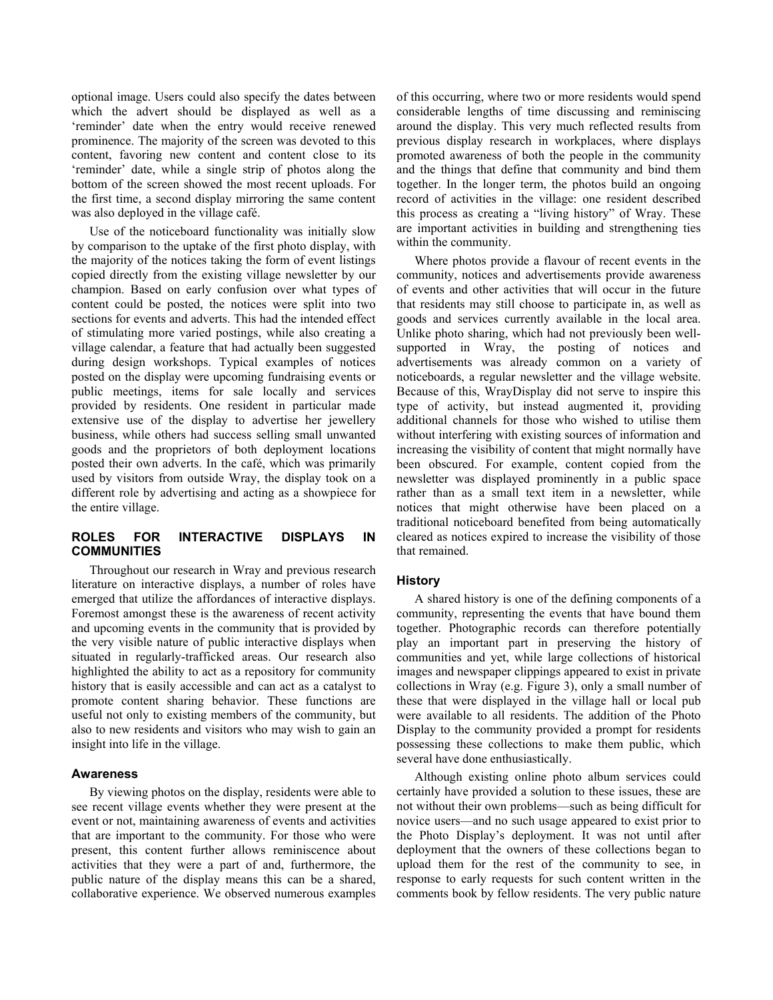optional image. Users could also specify the dates between which the advert should be displayed as well as a 'reminder' date when the entry would receive renewed prominence. The majority of the screen was devoted to this content, favoring new content and content close to its 'reminder' date, while a single strip of photos along the bottom of the screen showed the most recent uploads. For the first time, a second display mirroring the same content was also deployed in the village café.

Use of the noticeboard functionality was initially slow by comparison to the uptake of the first photo display, with the majority of the notices taking the form of event listings copied directly from the existing village newsletter by our champion. Based on early confusion over what types of content could be posted, the notices were split into two sections for events and adverts. This had the intended effect of stimulating more varied postings, while also creating a village calendar, a feature that had actually been suggested during design workshops. Typical examples of notices posted on the display were upcoming fundraising events or public meetings, items for sale locally and services provided by residents. One resident in particular made extensive use of the display to advertise her jewellery business, while others had success selling small unwanted goods and the proprietors of both deployment locations posted their own adverts. In the café, which was primarily used by visitors from outside Wray, the display took on a different role by advertising and acting as a showpiece for the entire village.

# **ROLES FOR INTERACTIVE DISPLAYS IN COMMUNITIES**

Throughout our research in Wray and previous research literature on interactive displays, a number of roles have emerged that utilize the affordances of interactive displays. Foremost amongst these is the awareness of recent activity and upcoming events in the community that is provided by the very visible nature of public interactive displays when situated in regularly-trafficked areas. Our research also highlighted the ability to act as a repository for community history that is easily accessible and can act as a catalyst to promote content sharing behavior. These functions are useful not only to existing members of the community, but also to new residents and visitors who may wish to gain an insight into life in the village.

### **Awareness**

By viewing photos on the display, residents were able to see recent village events whether they were present at the event or not, maintaining awareness of events and activities that are important to the community. For those who were present, this content further allows reminiscence about activities that they were a part of and, furthermore, the public nature of the display means this can be a shared, collaborative experience. We observed numerous examples

of this occurring, where two or more residents would spend considerable lengths of time discussing and reminiscing around the display. This very much reflected results from previous display research in workplaces, where displays promoted awareness of both the people in the community and the things that define that community and bind them together. In the longer term, the photos build an ongoing record of activities in the village: one resident described this process as creating a "living history" of Wray. These are important activities in building and strengthening ties within the community.

Where photos provide a flavour of recent events in the community, notices and advertisements provide awareness of events and other activities that will occur in the future that residents may still choose to participate in, as well as goods and services currently available in the local area. Unlike photo sharing, which had not previously been wellsupported in Wray, the posting of notices and advertisements was already common on a variety of noticeboards, a regular newsletter and the village website. Because of this, WrayDisplay did not serve to inspire this type of activity, but instead augmented it, providing additional channels for those who wished to utilise them without interfering with existing sources of information and increasing the visibility of content that might normally have been obscured. For example, content copied from the newsletter was displayed prominently in a public space rather than as a small text item in a newsletter, while notices that might otherwise have been placed on a traditional noticeboard benefited from being automatically cleared as notices expired to increase the visibility of those that remained.

### **History**

A shared history is one of the defining components of a community, representing the events that have bound them together. Photographic records can therefore potentially play an important part in preserving the history of communities and yet, while large collections of historical images and newspaper clippings appeared to exist in private collections in Wray (e.g. Figure 3), only a small number of these that were displayed in the village hall or local pub were available to all residents. The addition of the Photo Display to the community provided a prompt for residents possessing these collections to make them public, which several have done enthusiastically.

Although existing online photo album services could certainly have provided a solution to these issues, these are not without their own problems—such as being difficult for novice users—and no such usage appeared to exist prior to the Photo Display's deployment. It was not until after deployment that the owners of these collections began to upload them for the rest of the community to see, in response to early requests for such content written in the comments book by fellow residents. The very public nature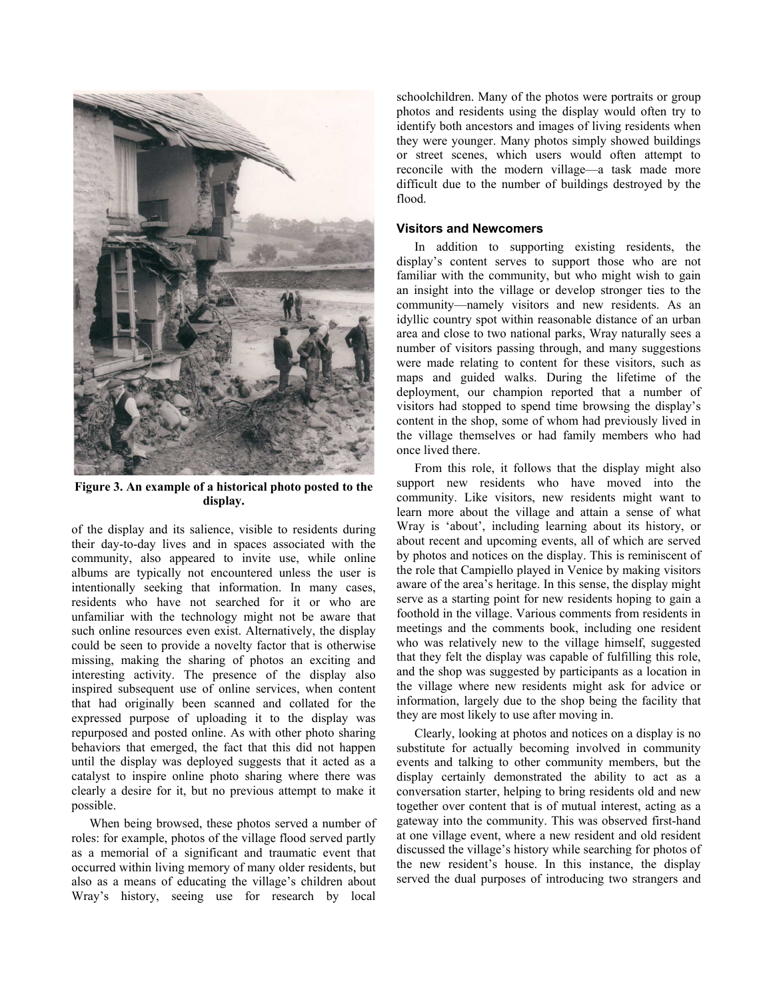

**Figure 3. An example of a historical photo posted to the display.** 

of the display and its salience, visible to residents during their day-to-day lives and in spaces associated with the community, also appeared to invite use, while online albums are typically not encountered unless the user is intentionally seeking that information. In many cases, residents who have not searched for it or who are unfamiliar with the technology might not be aware that such online resources even exist. Alternatively, the display could be seen to provide a novelty factor that is otherwise missing, making the sharing of photos an exciting and interesting activity. The presence of the display also inspired subsequent use of online services, when content that had originally been scanned and collated for the expressed purpose of uploading it to the display was repurposed and posted online. As with other photo sharing behaviors that emerged, the fact that this did not happen until the display was deployed suggests that it acted as a catalyst to inspire online photo sharing where there was clearly a desire for it, but no previous attempt to make it possible.

When being browsed, these photos served a number of roles: for example, photos of the village flood served partly as a memorial of a significant and traumatic event that occurred within living memory of many older residents, but also as a means of educating the village's children about Wray's history, seeing use for research by local

schoolchildren. Many of the photos were portraits or group photos and residents using the display would often try to identify both ancestors and images of living residents when they were younger. Many photos simply showed buildings or street scenes, which users would often attempt to reconcile with the modern village—a task made more difficult due to the number of buildings destroyed by the flood.

# **Visitors and Newcomers**

In addition to supporting existing residents, the display's content serves to support those who are not familiar with the community, but who might wish to gain an insight into the village or develop stronger ties to the community—namely visitors and new residents. As an idyllic country spot within reasonable distance of an urban area and close to two national parks, Wray naturally sees a number of visitors passing through, and many suggestions were made relating to content for these visitors, such as maps and guided walks. During the lifetime of the deployment, our champion reported that a number of visitors had stopped to spend time browsing the display's content in the shop, some of whom had previously lived in the village themselves or had family members who had once lived there.

From this role, it follows that the display might also support new residents who have moved into the community. Like visitors, new residents might want to learn more about the village and attain a sense of what Wray is 'about', including learning about its history, or about recent and upcoming events, all of which are served by photos and notices on the display. This is reminiscent of the role that Campiello played in Venice by making visitors aware of the area's heritage. In this sense, the display might serve as a starting point for new residents hoping to gain a foothold in the village. Various comments from residents in meetings and the comments book, including one resident who was relatively new to the village himself, suggested that they felt the display was capable of fulfilling this role, and the shop was suggested by participants as a location in the village where new residents might ask for advice or information, largely due to the shop being the facility that they are most likely to use after moving in.

Clearly, looking at photos and notices on a display is no substitute for actually becoming involved in community events and talking to other community members, but the display certainly demonstrated the ability to act as a conversation starter, helping to bring residents old and new together over content that is of mutual interest, acting as a gateway into the community. This was observed first-hand at one village event, where a new resident and old resident discussed the village's history while searching for photos of the new resident's house. In this instance, the display served the dual purposes of introducing two strangers and